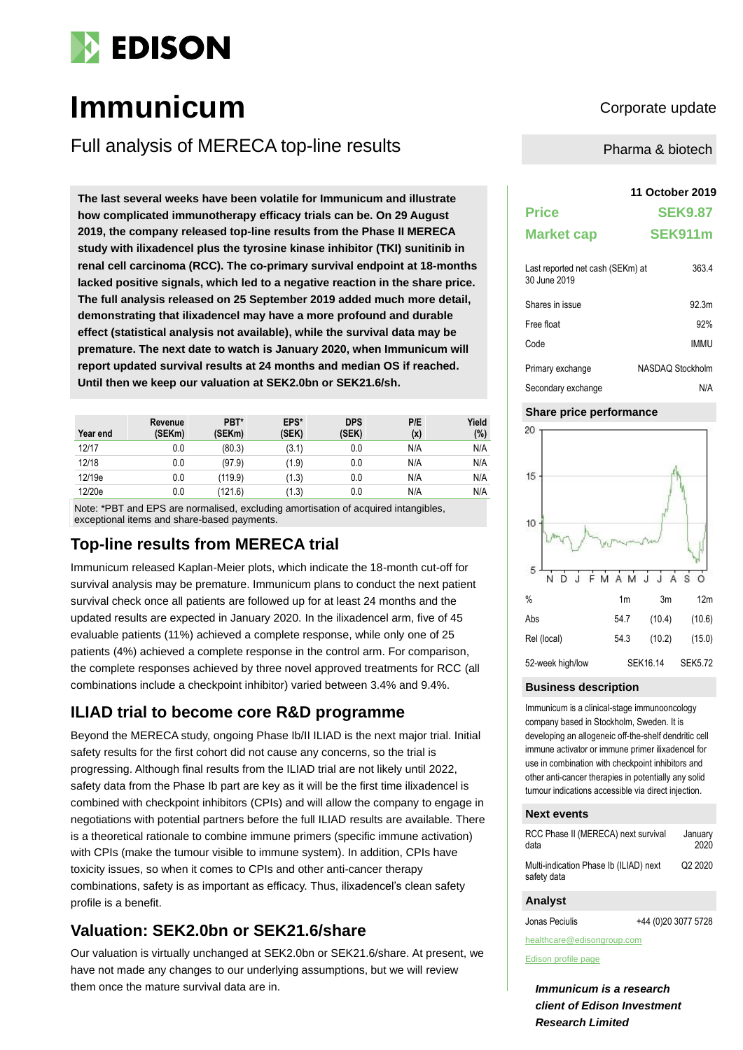

# **Immunicum** Corporate update

Full analysis of MERECA top-line results

**The last several weeks have been volatile for Immunicum and illustrate how complicated immunotherapy efficacy trials can be. On 29 August 2019, the company released top-line results from the Phase II MERECA study with ilixadencel plus the tyrosine kinase inhibitor (TKI) sunitinib in renal cell carcinoma (RCC). The co-primary survival endpoint at 18-months lacked positive signals, which led to a negative reaction in the share price. The full analysis released on 25 September 2019 added much more detail, demonstrating that ilixadencel may have a more profound and durable effect (statistical analysis not available), while the survival data may be premature. The next date to watch is January 2020, when Immunicum will report updated survival results at 24 months and median OS if reached. Until then we keep our valuation at SEK2.0bn or SEK21.6/sh.**

| Year end | Revenue<br>(SEKm) | PBT*<br>(SEKm) | EPS*<br>(SEK) | <b>DPS</b><br>(SEK) | P/E<br>(x) | Yield<br>(%) |
|----------|-------------------|----------------|---------------|---------------------|------------|--------------|
| 12/17    | 0.0               | (80.3)         | (3.1)         | 0.0                 | N/A        | N/A          |
| 12/18    | 0.0               | (97.9)         | (1.9)         | 0.0                 | N/A        | N/A          |
| 12/19e   | 0.0               | (119.9)        | (1.3)         | 0.0                 | N/A        | N/A          |
| 12/20e   | 0.0               | (121.6)        | (1.3)         | 0.0                 | N/A        | N/A          |

Note: \*PBT and EPS are normalised, excluding amortisation of acquired intangibles, exceptional items and share-based payments.

### **Top-line results from MERECA trial**

Immunicum released Kaplan-Meier plots, which indicate the 18-month cut-off for survival analysis may be premature. Immunicum plans to conduct the next patient survival check once all patients are followed up for at least 24 months and the updated results are expected in January 2020. In the ilixadencel arm, five of 45 evaluable patients (11%) achieved a complete response, while only one of 25 patients (4%) achieved a complete response in the control arm. For comparison, the complete responses achieved by three novel approved treatments for RCC (all combinations include a checkpoint inhibitor) varied between 3.4% and 9.4%.

### **ILIAD trial to become core R&D programme**

Beyond the MERECA study, ongoing Phase Ib/II ILIAD is the next major trial. Initial safety results for the first cohort did not cause any concerns, so the trial is progressing. Although final results from the ILIAD trial are not likely until 2022, safety data from the Phase Ib part are key as it will be the first time ilixadencel is combined with checkpoint inhibitors (CPIs) and will allow the company to engage in negotiations with potential partners before the full ILIAD results are available. There is a theoretical rationale to combine immune primers (specific immune activation) with CPIs (make the tumour visible to immune system). In addition, CPIs have toxicity issues, so when it comes to CPIs and other anti-cancer therapy combinations, safety is as important as efficacy. Thus, ilixadencel's clean safety profile is a benefit.

### **Valuation: SEK2.0bn or SEK21.6/share**

Our valuation is virtually unchanged at SEK2.0bn or SEK21.6/share. At present, we have not made any changes to our underlying assumptions, but we will review them once the mature survival data are in.

Pharma & biotech

#### **11 October 2019**

| <b>Price</b>                                     | <b>SEK9.87</b>    |
|--------------------------------------------------|-------------------|
| <b>Market cap</b>                                | SEK911m           |
| Last reported net cash (SEKm) at<br>30 June 2019 | 363.4             |
| Shares in issue                                  | 92.3 <sub>m</sub> |
| Free float                                       | 92%               |
| Code                                             | <b>IMMU</b>       |
| Primary exchange                                 | NASDAO Stockholm  |
| Secondary exchange                               | N/A               |

#### **Share price performance**



#### **Business description**

Immunicum is a clinical-stage immunooncology company based in Stockholm, Sweden. It is developing an allogeneic off-the-shelf dendritic cell immune activator or immune primer ilixadencel for use in combination with checkpoint inhibitors and other anti-cancer therapies in potentially any solid tumour indications accessible via direct injection.

#### **Next events**

| RCC Phase II (MERECA) next survival                   | January |
|-------------------------------------------------------|---------|
| data                                                  | 2020    |
| Multi-indication Phase Ib (ILIAD) next<br>safety data | Q2 2020 |

#### **Analyst**

Jonas Peciulis +44 (0)20 3077 5728

healthcare@edisongroup.com [Edison profile page](https://www.edisongroup.com/company/immunicum/2200)

*Immunicum is a research client of Edison Investment Research Limited*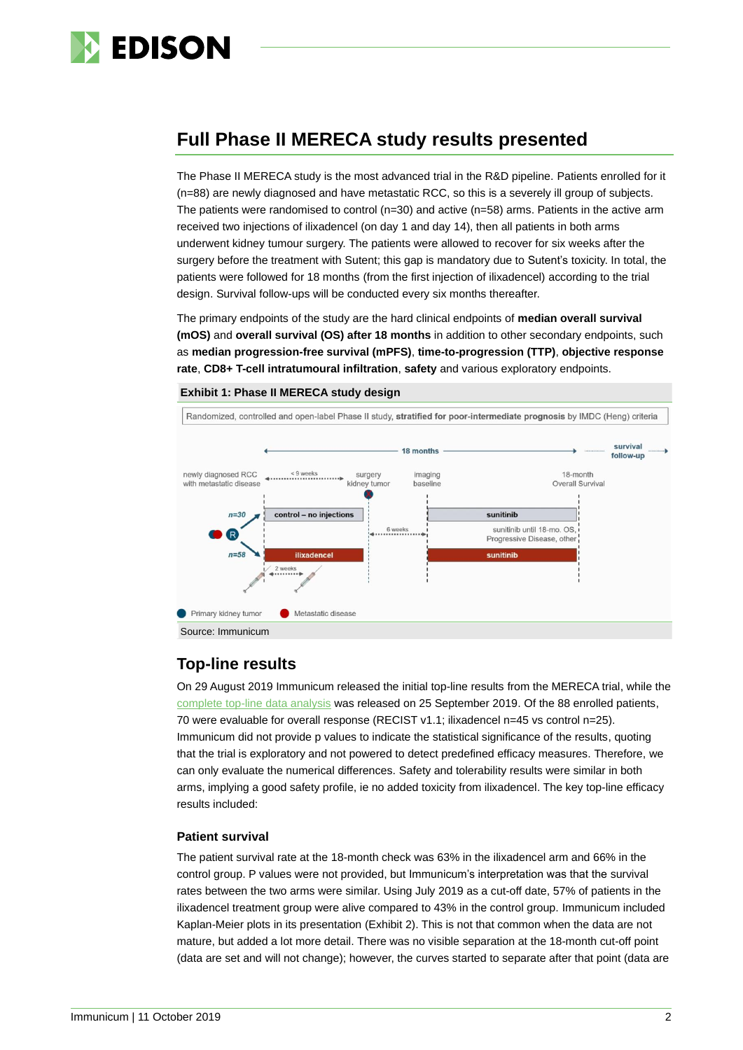

### **Full Phase II MERECA study results presented**

The Phase II MERECA study is the most advanced trial in the R&D pipeline. Patients enrolled for it (n=88) are newly diagnosed and have metastatic RCC, so this is a severely ill group of subjects. The patients were randomised to control ( $n=30$ ) and active  $(n=58)$  arms. Patients in the active arm received two injections of ilixadencel (on day 1 and day 14), then all patients in both arms underwent kidney tumour surgery. The patients were allowed to recover for six weeks after the surgery before the treatment with Sutent; this gap is mandatory due to Sutent's toxicity. In total, the patients were followed for 18 months (from the first injection of ilixadencel) according to the trial design. Survival follow-ups will be conducted every six months thereafter.

The primary endpoints of the study are the hard clinical endpoints of **median overall survival (mOS)** and **overall survival (OS) after 18 months** in addition to other secondary endpoints, such as **median progression-free survival (mPFS)**, **time-to-progression (TTP)**, **objective response rate**, **CD8+ T-cell intratumoural infiltration**, **safety** and various exploratory endpoints.



**Exhibit 1: Phase II MERECA study design**

### **Top-line results**

On 29 August 2019 Immunicum released the initial top-line results from the MERECA trial, while the [complete top-line data analysis](https://immunicum.se/webcast-link-presentation/) was released on 25 September 2019. Of the 88 enrolled patients, 70 were evaluable for overall response (RECIST v1.1; ilixadencel n=45 vs control n=25). Immunicum did not provide p values to indicate the statistical significance of the results, quoting that the trial is exploratory and not powered to detect predefined efficacy measures. Therefore, we can only evaluate the numerical differences. Safety and tolerability results were similar in both arms, implying a good safety profile, ie no added toxicity from ilixadencel. The key top-line efficacy results included:

### **Patient survival**

The patient survival rate at the 18-month check was 63% in the ilixadencel arm and 66% in the control group. P values were not provided, but Immunicum's interpretation was that the survival rates between the two arms were similar. Using July 2019 as a cut-off date, 57% of patients in the ilixadencel treatment group were alive compared to 43% in the control group. Immunicum included Kaplan-Meier plots in its presentation (Exhibit 2). This is not that common when the data are not mature, but added a lot more detail. There was no visible separation at the 18-month cut-off point (data are set and will not change); however, the curves started to separate after that point (data are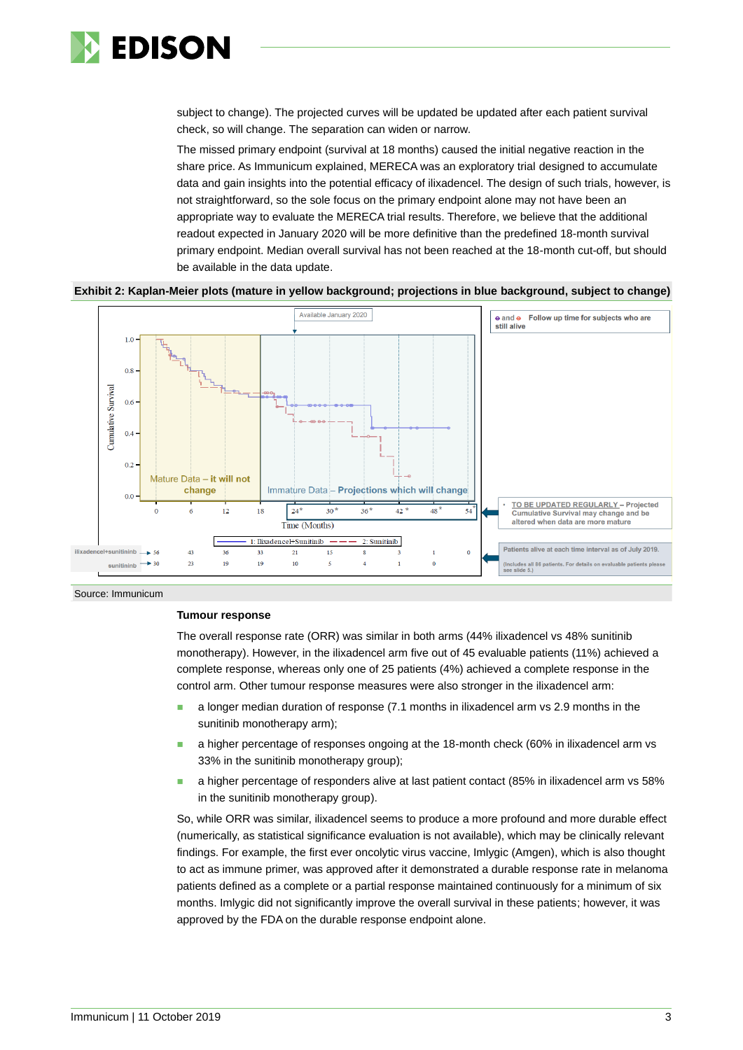

subject to change). The projected curves will be updated be updated after each patient survival check, so will change. The separation can widen or narrow.

The missed primary endpoint (survival at 18 months) caused the initial negative reaction in the share price. As Immunicum explained, MERECA was an exploratory trial designed to accumulate data and gain insights into the potential efficacy of ilixadencel. The design of such trials, however, is not straightforward, so the sole focus on the primary endpoint alone may not have been an appropriate way to evaluate the MERECA trial results. Therefore, we believe that the additional readout expected in January 2020 will be more definitive than the predefined 18-month survival primary endpoint. Median overall survival has not been reached at the 18-month cut-off, but should be available in the data update.





Source: Immunicum

#### **Tumour response**

The overall response rate (ORR) was similar in both arms (44% ilixadencel vs 48% sunitinib monotherapy). However, in the ilixadencel arm five out of 45 evaluable patients (11%) achieved a complete response, whereas only one of 25 patients (4%) achieved a complete response in the control arm. Other tumour response measures were also stronger in the ilixadencel arm:

- ◼ a longer median duration of response (7.1 months in ilixadencel arm vs 2.9 months in the sunitinib monotherapy arm);
- a higher percentage of responses ongoing at the 18-month check (60% in ilixadencel arm vs 33% in the sunitinib monotherapy group);
- a higher percentage of responders alive at last patient contact (85% in ilixadencel arm vs 58% in the sunitinib monotherapy group).

So, while ORR was similar, ilixadencel seems to produce a more profound and more durable effect (numerically, as statistical significance evaluation is not available), which may be clinically relevant findings. For example, the first ever oncolytic virus vaccine, Imlygic (Amgen), which is also thought to act as immune primer, was approved after it demonstrated a durable response rate in melanoma patients defined as a complete or a partial response maintained continuously for a minimum of six months. Imlygic did not significantly improve the overall survival in these patients; however, it was approved by the FDA on the durable response endpoint alone.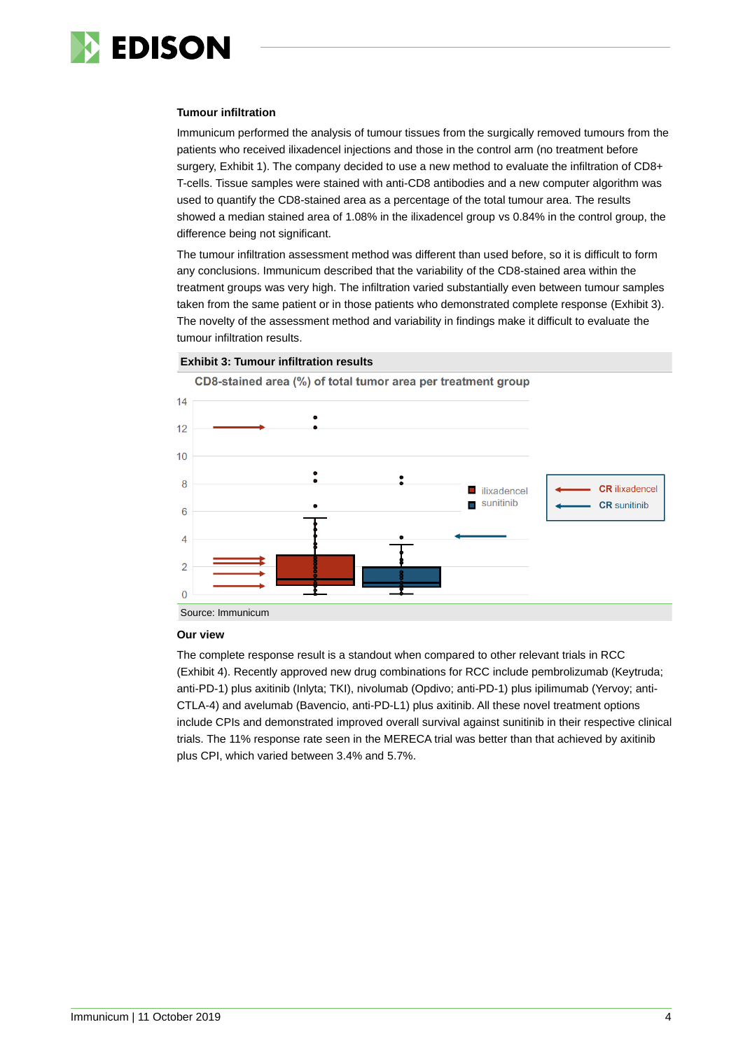

#### **Tumour infiltration**

Immunicum performed the analysis of tumour tissues from the surgically removed tumours from the patients who received ilixadencel injections and those in the control arm (no treatment before surgery, Exhibit 1). The company decided to use a new method to evaluate the infiltration of CD8+ T-cells. Tissue samples were stained with anti-CD8 antibodies and a new computer algorithm was used to quantify the CD8-stained area as a percentage of the total tumour area. The results showed a median stained area of 1.08% in the ilixadencel group vs 0.84% in the control group, the difference being not significant.

The tumour infiltration assessment method was different than used before, so it is difficult to form any conclusions. Immunicum described that the variability of the CD8-stained area within the treatment groups was very high. The infiltration varied substantially even between tumour samples taken from the same patient or in those patients who demonstrated complete response (Exhibit 3). The novelty of the assessment method and variability in findings make it difficult to evaluate the tumour infiltration results.

#### **Exhibit 3: Tumour infiltration results**

CD8-stained area (%) of total tumor area per treatment group



#### **Our view**

The complete response result is a standout when compared to other relevant trials in RCC (Exhibit 4). Recently approved new drug combinations for RCC include pembrolizumab (Keytruda; anti-PD-1) plus axitinib (Inlyta; TKI), nivolumab (Opdivo; anti-PD-1) plus ipilimumab (Yervoy; anti-CTLA-4) and avelumab (Bavencio, anti-PD-L1) plus axitinib. All these novel treatment options include CPIs and demonstrated improved overall survival against sunitinib in their respective clinical trials. The 11% response rate seen in the MERECA trial was better than that achieved by axitinib plus CPI, which varied between 3.4% and 5.7%.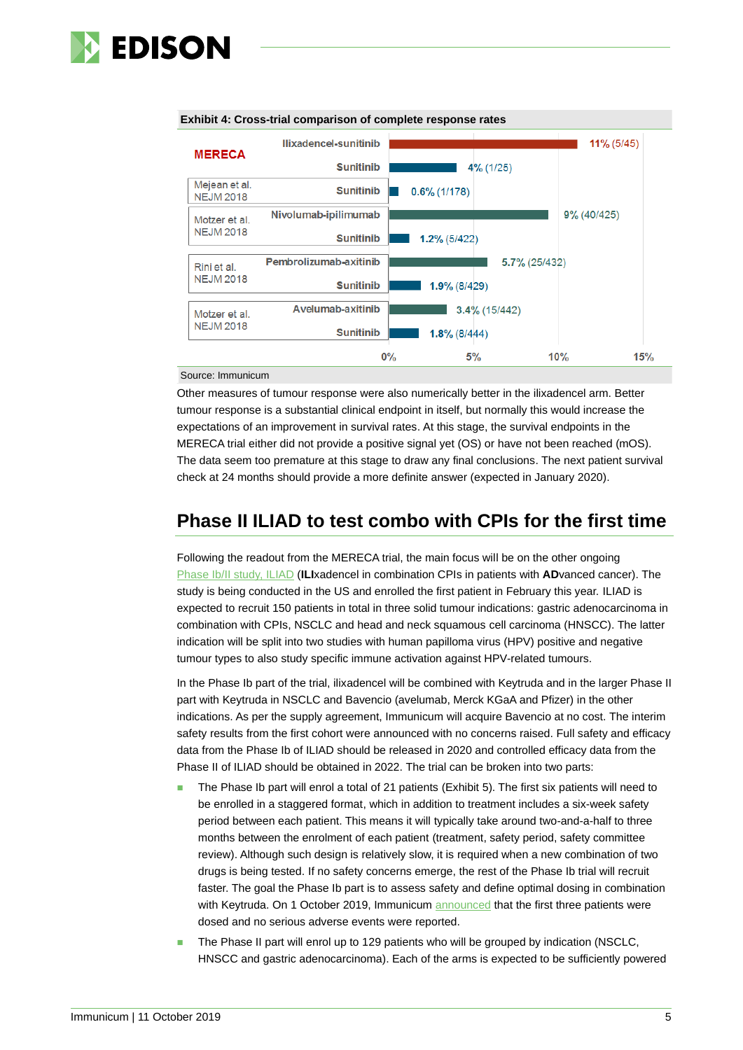





Source: Immunicum

Other measures of tumour response were also numerically better in the ilixadencel arm. Better tumour response is a substantial clinical endpoint in itself, but normally this would increase the expectations of an improvement in survival rates. At this stage, the survival endpoints in the MERECA trial either did not provide a positive signal yet (OS) or have not been reached (mOS). The data seem too premature at this stage to draw any final conclusions. The next patient survival check at 24 months should provide a more definite answer (expected in January 2020).

### **Phase II ILIAD to test combo with CPIs for the first time**

Following the readout from the MERECA trial, the main focus will be on the other ongoing Phase [Ib/II study,](https://clinicaltrials.gov/ct2/show/NCT03735290?term=immunicum&rank=1) ILIAD (**ILI**xadencel in combination CPIs in patients with **AD**vanced cancer). The study is being conducted in the US and enrolled the first patient in February this year. ILIAD is expected to recruit 150 patients in total in three solid tumour indications: gastric adenocarcinoma in combination with CPIs, NSCLC and head and neck squamous cell carcinoma (HNSCC). The latter indication will be split into two studies with human papilloma virus (HPV) positive and negative tumour types to also study specific immune activation against HPV-related tumours.

In the Phase Ib part of the trial, ilixadencel will be combined with Keytruda and in the larger Phase II part with Keytruda in NSCLC and Bavencio (avelumab, Merck KGaA and Pfizer) in the other indications. As per the supply agreement, Immunicum will acquire Bavencio at no cost. The interim safety results from the first cohort were announced with no concerns raised. Full safety and efficacy data from the Phase Ib of ILIAD should be released in 2020 and controlled efficacy data from the Phase II of ILIAD should be obtained in 2022. The trial can be broken into two parts:

- The Phase Ib part will enrol a total of 21 patients (Exhibit 5). The first six patients will need to be enrolled in a staggered format, which in addition to treatment includes a six-week safety period between each patient. This means it will typically take around two-and-a-half to three months between the enrolment of each patient (treatment, safety period, safety committee review). Although such design is relatively slow, it is required when a new combination of two drugs is being tested. If no safety concerns emerge, the rest of the Phase Ib trial will recruit faster. The goal the Phase Ib part is to assess safety and define optimal dosing in combination with Keytruda. On 1 October 2019, Immunicum [announced](https://immunicum.se/investors/press-releases/press/?xml_id=1923171) that the first three patients were dosed and no serious adverse events were reported.
- The Phase II part will enrol up to 129 patients who will be grouped by indication (NSCLC, HNSCC and gastric adenocarcinoma). Each of the arms is expected to be sufficiently powered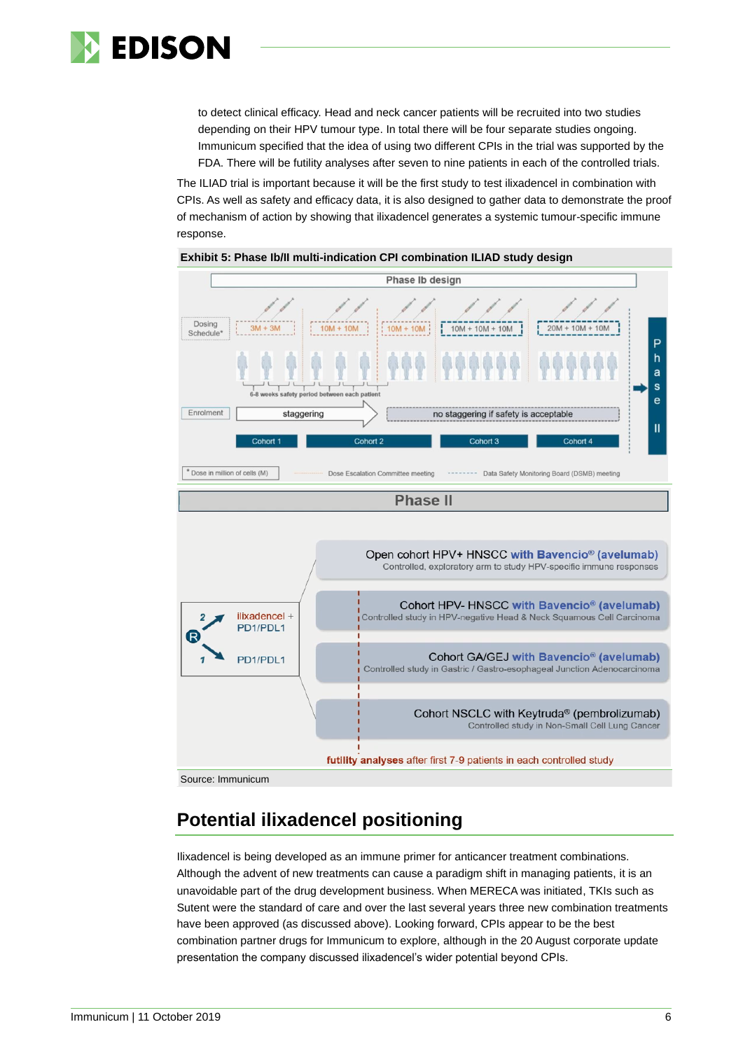

to detect clinical efficacy. Head and neck cancer patients will be recruited into two studies depending on their HPV tumour type. In total there will be four separate studies ongoing. Immunicum specified that the idea of using two different CPIs in the trial was supported by the FDA. There will be futility analyses after seven to nine patients in each of the controlled trials.

The ILIAD trial is important because it will be the first study to test ilixadencel in combination with CPIs. As well as safety and efficacy data, it is also designed to gather data to demonstrate the proof of mechanism of action by showing that ilixadencel generates a systemic tumour-specific immune response.



#### **Exhibit 5: Phase Ib/II multi-indication CPI combination ILIAD study design**

## **Potential ilixadencel positioning**

Ilixadencel is being developed as an immune primer for anticancer treatment combinations. Although the advent of new treatments can cause a paradigm shift in managing patients, it is an unavoidable part of the drug development business. When MERECA was initiated, TKIs such as Sutent were the standard of care and over the last several years three new combination treatments have been approved (as discussed above). Looking forward, CPIs appear to be the best combination partner drugs for Immunicum to explore, although in the 20 August corporate update presentation the company discussed ilixadencel's wider potential beyond CPIs.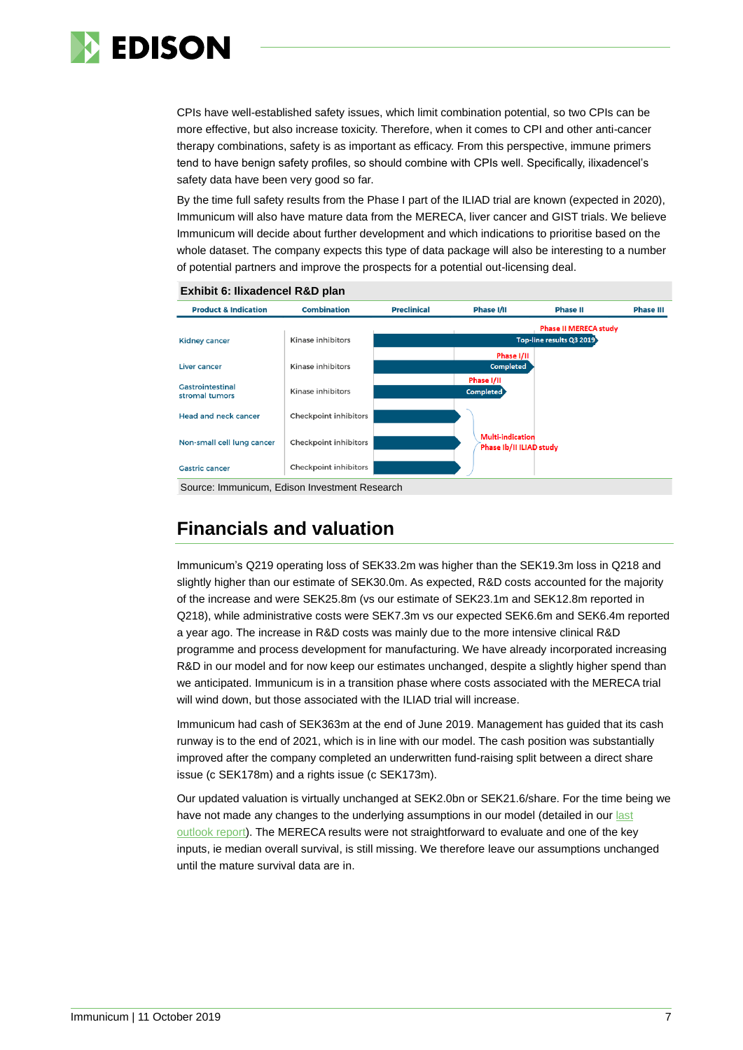

CPIs have well-established safety issues, which limit combination potential, so two CPIs can be more effective, but also increase toxicity. Therefore, when it comes to CPI and other anti-cancer therapy combinations, safety is as important as efficacy. From this perspective, immune primers tend to have benign safety profiles, so should combine with CPIs well. Specifically, ilixadencel's safety data have been very good so far.

By the time full safety results from the Phase I part of the ILIAD trial are known (expected in 2020), Immunicum will also have mature data from the MERECA, liver cancer and GIST trials. We believe Immunicum will decide about further development and which indications to prioritise based on the whole dataset. The company expects this type of data package will also be interesting to a number of potential partners and improve the prospects for a potential out-licensing deal.





### **Financials and valuation**

Immunicum's Q219 operating loss of SEK33.2m was higher than the SEK19.3m loss in Q218 and slightly higher than our estimate of SEK30.0m. As expected, R&D costs accounted for the majority of the increase and were SEK25.8m (vs our estimate of SEK23.1m and SEK12.8m reported in Q218), while administrative costs were SEK7.3m vs our expected SEK6.6m and SEK6.4m reported a year ago. The increase in R&D costs was mainly due to the more intensive clinical R&D programme and process development for manufacturing. We have already incorporated increasing R&D in our model and for now keep our estimates unchanged, despite a slightly higher spend than we anticipated. Immunicum is in a transition phase where costs associated with the MERECA trial will wind down, but those associated with the ILIAD trial will increase.

Immunicum had cash of SEK363m at the end of June 2019. Management has guided that its cash runway is to the end of 2021, which is in line with our model. The cash position was substantially improved after the company completed an underwritten fund-raising split between a direct share issue (c SEK178m) and a rights issue (c SEK173m).

Our updated valuation is virtually unchanged at SEK2.0bn or SEK21.6/share. For the time being we have not made any changes to the underlying assumptions in our model (detailed in our last [outlook report\)](https://www.edisongroup.com/publication/successful-large-share-issue-transforms-outlook/24497). The MERECA results were not straightforward to evaluate and one of the key inputs, ie median overall survival, is still missing. We therefore leave our assumptions unchanged until the mature survival data are in.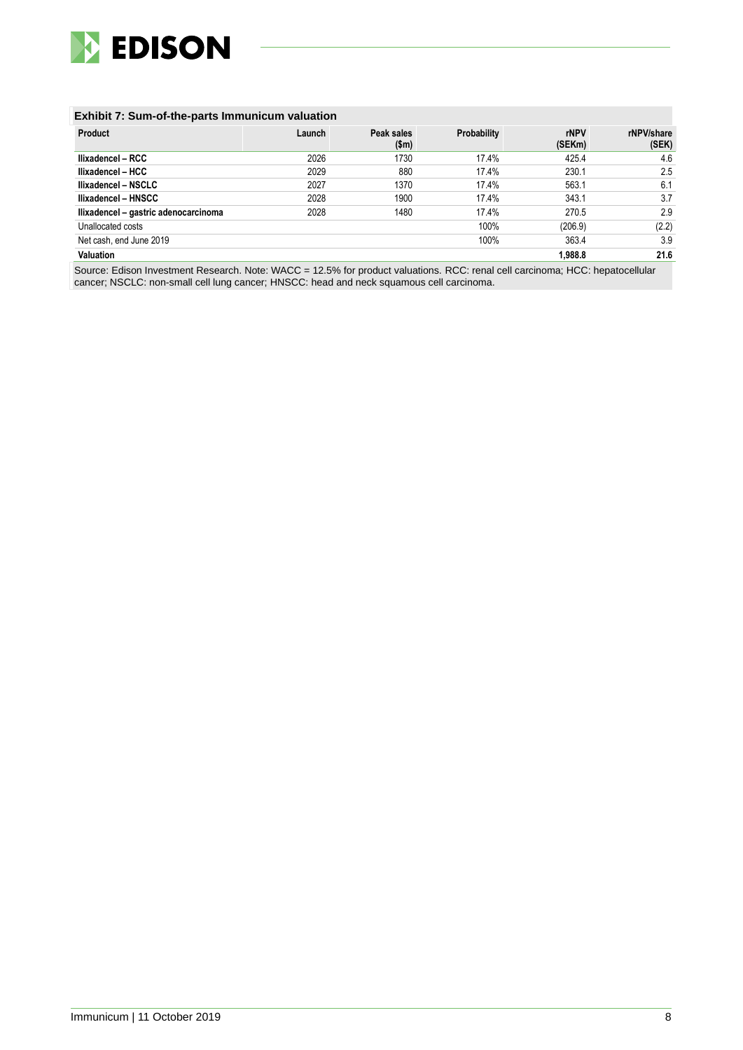

#### **Exhibit 7: Sum-of-the-parts Immunicum valuation**

| <b>Product</b>                       | Launch | Peak sales<br>\$m\$ | Probability | rNPV<br>(SEKm) | rNPV/share<br>(SEK) |
|--------------------------------------|--------|---------------------|-------------|----------------|---------------------|
| Ilixadencel - RCC                    | 2026   | 1730                | 17.4%       | 425.4          | 4.6                 |
| llixadencel - HCC                    | 2029   | 880                 | 17.4%       | 230.1          | 2.5                 |
| Ilixadencel - NSCLC                  | 2027   | 1370                | 17.4%       | 563.1          | 6.1                 |
| Ilixadencel - HNSCC                  | 2028   | 1900                | 17.4%       | 343.1          | 3.7                 |
| Ilixadencel - gastric adenocarcinoma | 2028   | 1480                | 17.4%       | 270.5          | 2.9                 |
| Unallocated costs                    |        |                     | 100%        | (206.9)        | (2.2)               |
| Net cash, end June 2019              |        |                     | 100%        | 363.4          | 3.9                 |
| <b>Valuation</b>                     |        |                     |             | 1.988.8        | 21.6                |

Source: Edison Investment Research. Note: WACC = 12.5% for product valuations. RCC: renal cell carcinoma; HCC: hepatocellular cancer; NSCLC: non-small cell lung cancer; HNSCC: head and neck squamous cell carcinoma.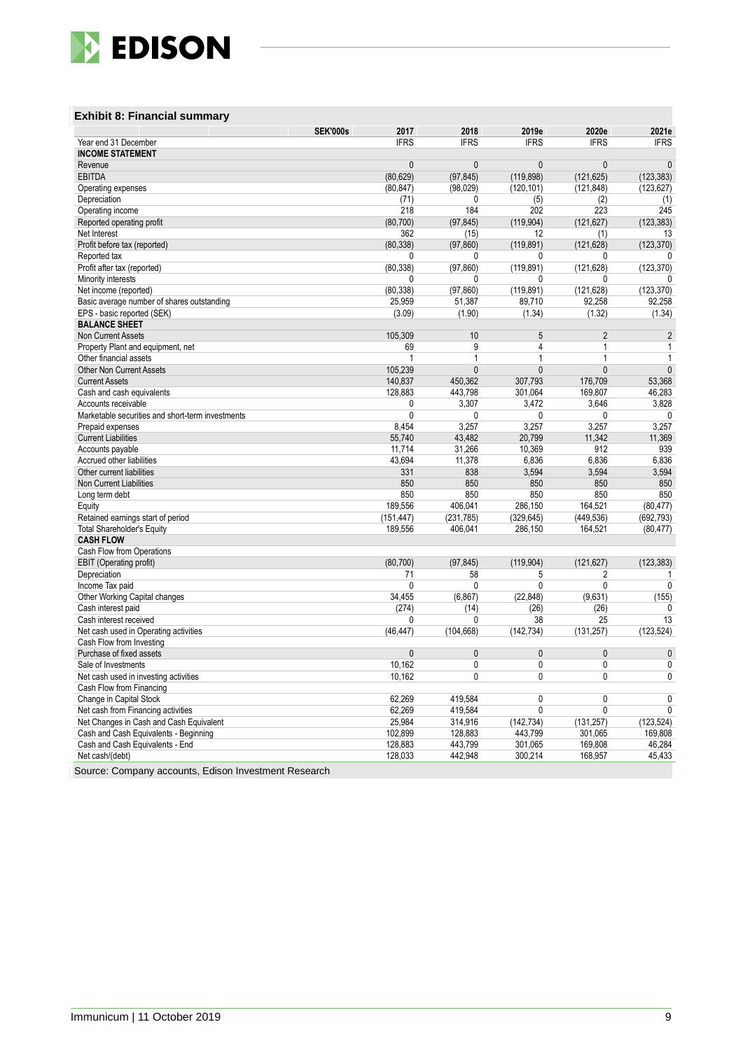

#### **Exhibit 8: Financial summary**

|                                                  | <b>SEK'000s</b><br>2017 | 2018                         | 2019e          | 2020e          | 2021e          |
|--------------------------------------------------|-------------------------|------------------------------|----------------|----------------|----------------|
| Year end 31 December                             | <b>IFRS</b>             | <b>IFRS</b>                  | <b>IFRS</b>    | <b>IFRS</b>    | <b>IFRS</b>    |
| <b>INCOME STATEMENT</b>                          |                         |                              |                |                |                |
| Revenue                                          |                         | $\mathbf{0}$<br>$\mathbf{0}$ | $\mathbf{0}$   | $\mathbf{0}$   | $\mathbf{0}$   |
| <b>EBITDA</b>                                    | (80, 629)               | (97, 845)                    | (119, 898)     | (121, 625)     | (123, 383)     |
| Operating expenses                               | (80, 847)               | (98, 029)                    | (120, 101)     | (121, 848)     | (123, 627)     |
| Depreciation                                     | (71)                    | $\mathbf{0}$                 | (5)            | (2)            | (1)            |
| Operating income                                 | 218                     | 184                          | 202            | 223            | 245            |
| Reported operating profit                        | (80, 700)               | (97, 845)                    | (119, 904)     | (121, 627)     | (123, 383)     |
| Net Interest                                     | 362                     | (15)                         | 12             | (1)            | 13             |
| Profit before tax (reported)                     | (80, 338)               | (97, 860)                    | (119, 891)     | (121, 628)     | (123, 370)     |
| Reported tax                                     |                         | 0<br>0                       | 0              | 0              | 0              |
| Profit after tax (reported)                      | (80, 338)               | (97, 860)                    | (119.891)      | (121, 628)     | (123, 370)     |
| Minority interests                               |                         | 0<br>0                       | 0              | 0              | 0              |
| Net income (reported)                            | (80, 338)               | (97, 860)                    | (119, 891)     | (121, 628)     | (123, 370)     |
| Basic average number of shares outstanding       | 25,959                  | 51,387                       | 89,710         | 92,258         | 92,258         |
| EPS - basic reported (SEK)                       | (3.09)                  | (1.90)                       | (1.34)         | (1.32)         | (1.34)         |
| <b>BALANCE SHEET</b>                             |                         |                              |                |                |                |
| <b>Non Current Assets</b>                        | 105,309                 | 10                           | 5              | $\overline{2}$ | $\overline{2}$ |
| Property Plant and equipment, net                | 69                      | 9                            | 4              | $\mathbf{1}$   | $\mathbf{1}$   |
| Other financial assets                           |                         | 1<br>$\mathbf{1}$            | $\mathbf{1}$   | $\mathbf{1}$   | $\mathbf{1}$   |
| <b>Other Non Current Assets</b>                  | 105,239                 | $\mathbf{0}$                 | $\mathbf{0}$   | $\mathbf{0}$   | $\pmb{0}$      |
| <b>Current Assets</b>                            | 140.837                 | 450.362                      | 307.793        | 176,709        | 53.368         |
| Cash and cash equivalents                        | 128,883                 | 443,798                      | 301,064        | 169,807        | 46,283         |
| Accounts receivable                              |                         | 0<br>3,307                   | 3,472          | 3,646          | 3,828          |
| Marketable securities and short-term investments |                         | 0<br>0                       | 0              | 0              | 0              |
| Prepaid expenses                                 | 8.454                   | 3.257                        | 3.257          | 3.257          | 3.257          |
| <b>Current Liabilities</b>                       | 55,740                  | 43,482                       | 20,799         | 11,342         | 11,369         |
| Accounts payable                                 | 11,714                  | 31,266                       | 10,369         | 912            | 939            |
| Accrued other liabilities                        | 43,694                  | 11,378                       | 6,836          | 6,836          | 6,836          |
| Other current liabilities                        | 331                     | 838                          | 3,594          | 3,594          | 3,594          |
| Non Current Liabilities                          | 850                     | 850                          | 850            | 850            | 850            |
| Long term debt                                   | 850                     | 850                          | 850            | 850            | 850            |
| Equity                                           | 189.556                 | 406.041                      | 286,150        | 164.521        | (80, 477)      |
| Retained earnings start of period                | (151, 447)              | (231, 785)                   | (329, 645)     | (449, 536)     | (692, 793)     |
| <b>Total Shareholder's Equity</b>                | 189,556                 | 406,041                      | 286,150        | 164,521        | (80, 477)      |
| <b>CASH FLOW</b>                                 |                         |                              |                |                |                |
| Cash Flow from Operations                        |                         |                              |                |                |                |
| <b>EBIT</b> (Operating profit)                   | (80, 700)               | (97, 845)                    | (119,904)      | (121, 627)     | (123, 383)     |
| Depreciation                                     | 71                      | 58                           | 5              | $\overline{2}$ | 1              |
| Income Tax paid                                  |                         | 0<br>0                       | $\mathbf{0}$   | $\mathbf{0}$   | $\mathbf{0}$   |
| Other Working Capital changes                    | 34,455                  | (6, 867)                     | (22, 848)      | (9,631)        | (155)          |
| Cash interest paid                               | (274)                   | (14)                         | (26)           | (26)           | 0              |
| Cash interest received                           |                         | 0<br>0                       | 38             | 25             | 13             |
| Net cash used in Operating activities            | (46, 447)               | (104, 668)                   | (142, 734)     | (131, 257)     | (123, 524)     |
| Cash Flow from Investing                         |                         |                              |                |                |                |
| Purchase of fixed assets                         |                         | $\mathbf{0}$<br>$\mathbf{0}$ | $\mathbf{0}$   | $\mathbf{0}$   | $\mathbf{0}$   |
| Sale of Investments                              | 10,162                  | $\mathbf{0}$                 | $\mathbf{0}$   | $\mathbf{0}$   | 0              |
| Net cash used in investing activities            | 10,162                  | $\overline{0}$               | $\overline{0}$ | $\overline{0}$ | $\overline{0}$ |
| Cash Flow from Financing                         |                         |                              |                |                |                |
| Change in Capital Stock                          | 62.269                  | 419.584                      | 0              | 0              | 0              |
| Net cash from Financing activities               | 62,269                  | 419,584                      | $\overline{0}$ | $\overline{0}$ | $\overline{0}$ |
| Net Changes in Cash and Cash Equivalent          | 25,984                  | 314,916                      | (142, 734)     | (131, 257)     | (123, 524)     |
| Cash and Cash Equivalents - Beginning            | 102,899                 | 128,883                      | 443,799        | 301,065        | 169.808        |
| Cash and Cash Equivalents - End                  | 128,883                 | 443,799                      | 301,065        | 169,808        | 46,284         |
| Net cash/(debt)                                  | 128,033                 | 442,948                      | 300,214        | 168,957        | 45,433         |
|                                                  |                         |                              |                |                |                |

Source: Company accounts, Edison Investment Research